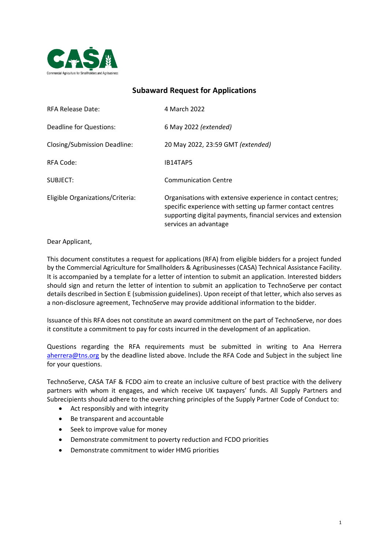

# **Subaward Request for Applications**

| <b>RFA Release Date:</b>         | 4 March 2022                                                                                                                                                                                                        |
|----------------------------------|---------------------------------------------------------------------------------------------------------------------------------------------------------------------------------------------------------------------|
| Deadline for Questions:          | 6 May 2022 (extended)                                                                                                                                                                                               |
| Closing/Submission Deadline:     | 20 May 2022, 23:59 GMT (extended)                                                                                                                                                                                   |
| RFA Code:                        | IB14TAP5                                                                                                                                                                                                            |
| SUBJECT:                         | <b>Communication Centre</b>                                                                                                                                                                                         |
| Eligible Organizations/Criteria: | Organisations with extensive experience in contact centres;<br>specific experience with setting up farmer contact centres<br>supporting digital payments, financial services and extension<br>services an advantage |

Dear Applicant,

This document constitutes a request for applications (RFA) from eligible bidders for a project funded by the Commercial Agriculture for Smallholders & Agribusinesses (CASA) Technical Assistance Facility. It is accompanied by a template for a letter of intention to submit an application. Interested bidders should sign and return the letter of intention to submit an application to TechnoServe per contact details described in Section E (submission guidelines). Upon receipt of that letter, which also serves as a non-disclosure agreement, TechnoServe may provide additional information to the bidder.

Issuance of this RFA does not constitute an award commitment on the part of TechnoServe, nor does it constitute a commitment to pay for costs incurred in the development of an application.

Questions regarding the RFA requirements must be submitted in writing to Ana Herrera [aherrera@tns.org](mailto:aherrera@tns.org) by the deadline listed above. Include the RFA Code and Subject in the subject line for your questions.

TechnoServe, CASA TAF & FCDO aim to create an inclusive culture of best practice with the delivery partners with whom it engages, and which receive UK taxpayers' funds. All Supply Partners and Subrecipients should adhere to the overarching principles of the Supply Partner Code of Conduct to:

- Act responsibly and with integrity
- Be transparent and accountable
- Seek to improve value for money
- Demonstrate commitment to poverty reduction and FCDO priorities
- Demonstrate commitment to wider HMG priorities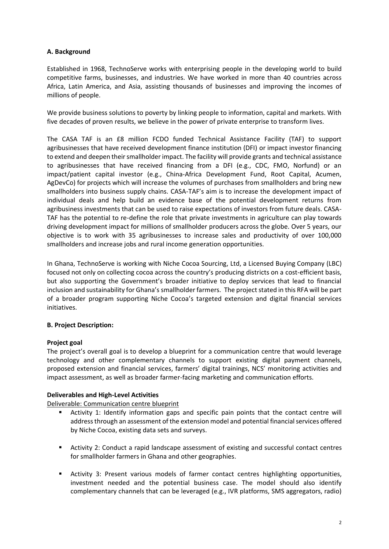## **A. Background**

Established in 1968, TechnoServe works with enterprising people in the developing world to build competitive farms, businesses, and industries. We have worked in more than 40 countries across Africa, Latin America, and Asia, assisting thousands of businesses and improving the incomes of millions of people.

We provide business solutions to poverty by linking people to information, capital and markets. With five decades of proven results, we believe in the power of private enterprise to transform lives.

The CASA TAF is an £8 million FCDO funded Technical Assistance Facility (TAF) to support agribusinesses that have received development finance institution (DFI) or impact investor financing to extend and deepen their smallholder impact. The facility will provide grants and technical assistance to agribusinesses that have received financing from a DFI (e.g., CDC, FMO, Norfund) or an impact/patient capital investor (e.g., China-Africa Development Fund, Root Capital, Acumen, AgDevCo) for projects which will increase the volumes of purchases from smallholders and bring new smallholders into business supply chains. CASA-TAF's aim is to increase the development impact of individual deals and help build an evidence base of the potential development returns from agribusiness investments that can be used to raise expectations of investors from future deals. CASA-TAF has the potential to re-define the role that private investments in agriculture can play towards driving development impact for millions of smallholder producers across the globe. Over 5 years, our objective is to work with 35 agribusinesses to increase sales and productivity of over 100,000 smallholders and increase jobs and rural income generation opportunities.

In Ghana, TechnoServe is working with Niche Cocoa Sourcing, Ltd, a Licensed Buying Company (LBC) focused not only on collecting cocoa across the country's producing districts on a cost-efficient basis, but also supporting the Government's broader initiative to deploy services that lead to financial inclusion and sustainability for Ghana's smallholder farmers. The project stated in this RFA will be part of a broader program supporting Niche Cocoa's targeted extension and digital financial services initiatives.

# **B. Project Description:**

# **Project goal**

The project's overall goal is to develop a blueprint for a communication centre that would leverage technology and other complementary channels to support existing digital payment channels, proposed extension and financial services, farmers' digital trainings, NCS' monitoring activities and impact assessment, as well as broader farmer-facing marketing and communication efforts.

## **Deliverables and High-Level Activities**

Deliverable: Communication centre blueprint

- Activity 1: Identify information gaps and specific pain points that the contact centre will address through an assessment of the extension model and potential financial services offered by Niche Cocoa, existing data sets and surveys.
- Activity 2: Conduct a rapid landscape assessment of existing and successful contact centres for smallholder farmers in Ghana and other geographies.
- Activity 3: Present various models of farmer contact centres highlighting opportunities, investment needed and the potential business case. The model should also identify complementary channels that can be leveraged (e.g., IVR platforms, SMS aggregators, radio)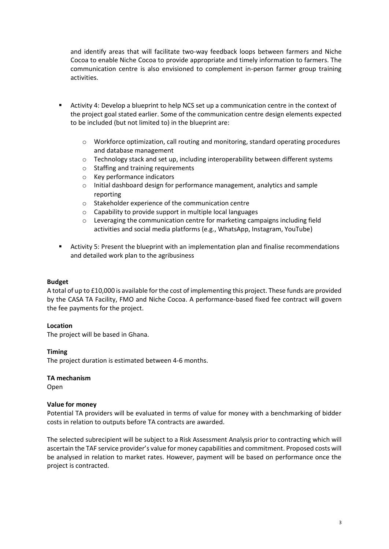and identify areas that will facilitate two-way feedback loops between farmers and Niche Cocoa to enable Niche Cocoa to provide appropriate and timely information to farmers. The communication centre is also envisioned to complement in-person farmer group training activities.

- Activity 4: Develop a blueprint to help NCS set up a communication centre in the context of the project goal stated earlier. Some of the communication centre design elements expected to be included (but not limited to) in the blueprint are:
	- o Workforce optimization, call routing and monitoring, standard operating procedures and database management
	- $\circ$  Technology stack and set up, including interoperability between different systems
	- o Staffing and training requirements
	- o Key performance indicators
	- o Initial dashboard design for performance management, analytics and sample reporting
	- o Stakeholder experience of the communication centre
	- o Capability to provide support in multiple local languages
	- o Leveraging the communication centre for marketing campaigns including field activities and social media platforms (e.g., WhatsApp, Instagram, YouTube)
- Activity 5: Present the blueprint with an implementation plan and finalise recommendations and detailed work plan to the agribusiness

## **Budget**

A total of up to £10,000 is available for the cost of implementing this project. These funds are provided by the CASA TA Facility, FMO and Niche Cocoa. A performance-based fixed fee contract will govern the fee payments for the project.

## **Location**

The project will be based in Ghana.

## **Timing**

The project duration is estimated between 4-6 months.

## **TA mechanism**

Open

## **Value for money**

Potential TA providers will be evaluated in terms of value for money with a benchmarking of bidder costs in relation to outputs before TA contracts are awarded.

The selected subrecipient will be subject to a Risk Assessment Analysis prior to contracting which will ascertain the TAF service provider's value for money capabilities and commitment. Proposed costs will be analysed in relation to market rates. However, payment will be based on performance once the project is contracted.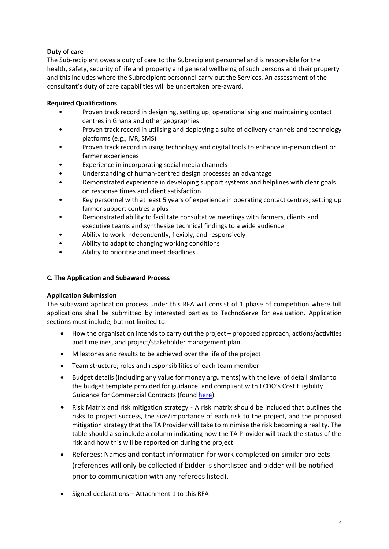# **Duty of care**

The Sub-recipient owes a duty of care to the Subrecipient personnel and is responsible for the health, safety, security of life and property and general wellbeing of such persons and their property and this includes where the Subrecipient personnel carry out the Services. An assessment of the consultant's duty of care capabilities will be undertaken pre-award.

# **Required Qualifications**

- Proven track record in designing, setting up, operationalising and maintaining contact centres in Ghana and other geographies
- Proven track record in utilising and deploying a suite of delivery channels and technology platforms (e.g., IVR, SMS)
- Proven track record in using technology and digital tools to enhance in-person client or farmer experiences
- Experience in incorporating social media channels
- Understanding of human-centred design processes an advantage
- Demonstrated experience in developing support systems and helplines with clear goals on response times and client satisfaction
- Key personnel with at least 5 years of experience in operating contact centres; setting up farmer support centres a plus
- Demonstrated ability to facilitate consultative meetings with farmers, clients and executive teams and synthesize technical findings to a wide audience
- Ability to work independently, flexibly, and responsively
- Ability to adapt to changing working conditions
- Ability to prioritise and meet deadlines

# **C. The Application and Subaward Process**

# **Application Submission**

The subaward application process under this RFA will consist of 1 phase of competition where full applications shall be submitted by interested parties to TechnoServe for evaluation. Application sections must include, but not limited to:

- How the organisation intends to carry out the project proposed approach, actions/activities and timelines, and project/stakeholder management plan.
- Milestones and results to be achieved over the life of the project
- Team structure; roles and responsibilities of each team member
- Budget details (including any value for money arguments) with the level of detail similar to the budget template provided for guidance, and compliant with FCDO's Cost Eligibility Guidance for Commercial Contracts (found [here\)](https://assets.publishing.service.gov.uk/government/uploads/system/uploads/attachment_data/file/888316/Eligible-Cost-Policy-28May2020.pdf).
- Risk Matrix and risk mitigation strategy A risk matrix should be included that outlines the risks to project success, the size/importance of each risk to the project, and the proposed mitigation strategy that the TA Provider will take to minimise the risk becoming a reality. The table should also include a column indicating how the TA Provider will track the status of the risk and how this will be reported on during the project.
- Referees: Names and contact information for work completed on similar projects (references will only be collected if bidder is shortlisted and bidder will be notified prior to communication with any referees listed).
- Signed declarations Attachment 1 to this RFA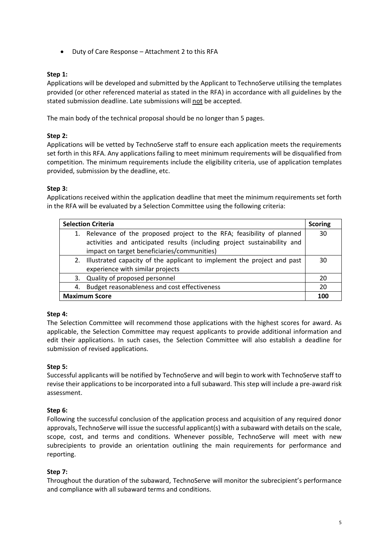• Duty of Care Response – Attachment 2 to this RFA

## **Step 1:**

Applications will be developed and submitted by the Applicant to TechnoServe utilising the templates provided (or other referenced material as stated in the RFA) in accordance with all guidelines by the stated submission deadline. Late submissions will not be accepted.

The main body of the technical proposal should be no longer than 5 pages.

## **Step 2:**

Applications will be vetted by TechnoServe staff to ensure each application meets the requirements set forth in this RFA. Any applications failing to meet minimum requirements will be disqualified from competition. The minimum requirements include the eligibility criteria, use of application templates provided, submission by the deadline, etc.

## **Step 3:**

Applications received within the application deadline that meet the minimum requirements set forth in the RFA will be evaluated by a Selection Committee using the following criteria:

| <b>Selection Criteria</b> |                                                                                                                                                                                                    | <b>Scoring</b> |
|---------------------------|----------------------------------------------------------------------------------------------------------------------------------------------------------------------------------------------------|----------------|
|                           | 1. Relevance of the proposed project to the RFA; feasibility of planned<br>activities and anticipated results (including project sustainability and<br>impact on target beneficiaries/communities) | 30             |
|                           | 2. Illustrated capacity of the applicant to implement the project and past<br>experience with similar projects                                                                                     | 30             |
|                           | 3. Quality of proposed personnel                                                                                                                                                                   | 20             |
|                           | 4. Budget reasonableness and cost effectiveness                                                                                                                                                    | 20             |
| <b>Maximum Score</b>      |                                                                                                                                                                                                    | 100            |

## **Step 4:**

The Selection Committee will recommend those applications with the highest scores for award. As applicable, the Selection Committee may request applicants to provide additional information and edit their applications. In such cases, the Selection Committee will also establish a deadline for submission of revised applications.

## **Step 5:**

Successful applicants will be notified by TechnoServe and will begin to work with TechnoServe staff to revise their applications to be incorporated into a full subaward. This step will include a pre-award risk assessment.

## **Step 6:**

Following the successful conclusion of the application process and acquisition of any required donor approvals, TechnoServe will issue the successful applicant(s) with a subaward with details on the scale, scope, cost, and terms and conditions. Whenever possible, TechnoServe will meet with new subrecipients to provide an orientation outlining the main requirements for performance and reporting.

## **Step 7:**

Throughout the duration of the subaward, TechnoServe will monitor the subrecipient's performance and compliance with all subaward terms and conditions.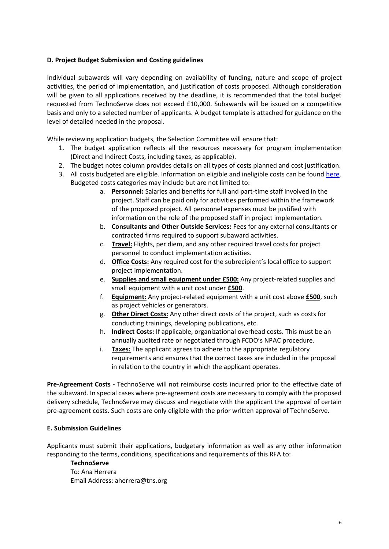## **D. Project Budget Submission and Costing guidelines**

Individual subawards will vary depending on availability of funding, nature and scope of project activities, the period of implementation, and justification of costs proposed. Although consideration will be given to all applications received by the deadline, it is recommended that the total budget requested from TechnoServe does not exceed £10,000. Subawards will be issued on a competitive basis and only to a selected number of applicants. A budget template is attached for guidance on the level of detailed needed in the proposal.

While reviewing application budgets, the Selection Committee will ensure that:

- 1. The budget application reflects all the resources necessary for program implementation (Direct and Indirect Costs, including taxes, as applicable).
- 2. The budget notes column provides details on all types of costs planned and cost justification.
- 3. All costs budgeted are eligible. Information on eligible and ineligible costs can be found [here.](https://assets.publishing.service.gov.uk/government/uploads/system/uploads/attachment_data/file/888316/Eligible-Cost-Policy-28May2020.pdf) Budgeted costs categories may include but are not limited to:
	- a. **Personnel:** Salaries and benefits for full and part-time staff involved in the project. Staff can be paid only for activities performed within the framework of the proposed project. All personnel expenses must be justified with information on the role of the proposed staff in project implementation.
	- b. **Consultants and Other Outside Services:** Fees for any external consultants or contracted firms required to support subaward activities.
	- c. **Travel:** Flights, per diem, and any other required travel costs for project personnel to conduct implementation activities.
	- d. **Office Costs:** Any required cost for the subrecipient's local office to support project implementation.
	- e. **Supplies and small equipment under £500:** Any project-related supplies and small equipment with a unit cost under **£500**.
	- f. **Equipment:** Any project-related equipment with a unit cost above **£500**, such as project vehicles or generators.
	- g. **Other Direct Costs:** Any other direct costs of the project, such as costs for conducting trainings, developing publications, etc.
	- h. **Indirect Costs:** If applicable, organizational overhead costs. This must be an annually audited rate or negotiated through FCDO's NPAC procedure.
	- i. **Taxes:** The applicant agrees to adhere to the appropriate regulatory requirements and ensures that the correct taxes are included in the proposal in relation to the country in which the applicant operates.

**Pre-Agreement Costs -** TechnoServe will not reimburse costs incurred prior to the effective date of the subaward. In special cases where pre-agreement costs are necessary to comply with the proposed delivery schedule, TechnoServe may discuss and negotiate with the applicant the approval of certain pre-agreement costs. Such costs are only eligible with the prior written approval of TechnoServe.

## **E. Submission Guidelines**

Applicants must submit their applications, budgetary information as well as any other information responding to the terms, conditions, specifications and requirements of this RFA to:

## **TechnoServe**

To: Ana Herrera Email Address: aherrera@tns.org